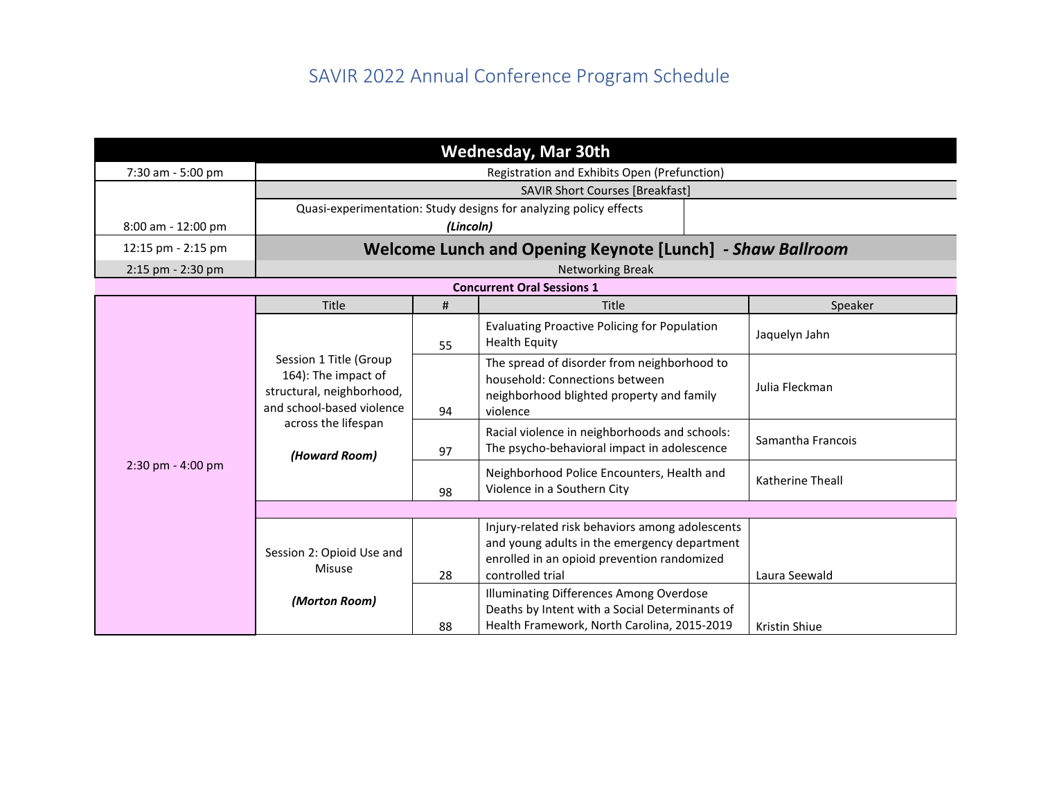|                                                                                                         |                                      |                         | <b>Wednesday, Mar 30th</b>                                                                                                                                         |  |                      |  |  |
|---------------------------------------------------------------------------------------------------------|--------------------------------------|-------------------------|--------------------------------------------------------------------------------------------------------------------------------------------------------------------|--|----------------------|--|--|
| 7:30 am - 5:00 pm                                                                                       |                                      |                         | Registration and Exhibits Open (Prefunction)                                                                                                                       |  |                      |  |  |
|                                                                                                         |                                      |                         | <b>SAVIR Short Courses [Breakfast]</b>                                                                                                                             |  |                      |  |  |
|                                                                                                         |                                      |                         | Quasi-experimentation: Study designs for analyzing policy effects                                                                                                  |  |                      |  |  |
| 8:00 am - 12:00 pm                                                                                      |                                      | (Lincoln)               |                                                                                                                                                                    |  |                      |  |  |
| 12:15 pm - 2:15 pm                                                                                      |                                      |                         | Welcome Lunch and Opening Keynote [Lunch] - Shaw Ballroom                                                                                                          |  |                      |  |  |
| 2:15 pm - 2:30 pm                                                                                       |                                      | <b>Networking Break</b> |                                                                                                                                                                    |  |                      |  |  |
|                                                                                                         |                                      |                         | <b>Concurrent Oral Sessions 1</b>                                                                                                                                  |  |                      |  |  |
|                                                                                                         | <b>Title</b>                         | #                       | Title                                                                                                                                                              |  | Speaker              |  |  |
|                                                                                                         |                                      | 55                      | <b>Evaluating Proactive Policing for Population</b><br><b>Health Equity</b>                                                                                        |  | Jaquelyn Jahn        |  |  |
| Session 1 Title (Group<br>164): The impact of<br>structural, neighborhood,<br>and school-based violence |                                      | 94                      | The spread of disorder from neighborhood to<br>household: Connections between<br>neighborhood blighted property and family<br>violence                             |  | Julia Fleckman       |  |  |
|                                                                                                         | across the lifespan<br>(Howard Room) | 97                      | Racial violence in neighborhoods and schools:<br>The psycho-behavioral impact in adolescence                                                                       |  | Samantha Francois    |  |  |
| $2:30$ pm - $4:00$ pm                                                                                   |                                      | 98                      | Neighborhood Police Encounters, Health and<br>Violence in a Southern City                                                                                          |  | Katherine Theall     |  |  |
|                                                                                                         |                                      |                         |                                                                                                                                                                    |  |                      |  |  |
|                                                                                                         | Session 2: Opioid Use and<br>Misuse  | 28                      | Injury-related risk behaviors among adolescents<br>and young adults in the emergency department<br>enrolled in an opioid prevention randomized<br>controlled trial |  | Laura Seewald        |  |  |
|                                                                                                         | (Morton Room)                        | 88                      | Illuminating Differences Among Overdose<br>Deaths by Intent with a Social Determinants of<br>Health Framework, North Carolina, 2015-2019                           |  | <b>Kristin Shiue</b> |  |  |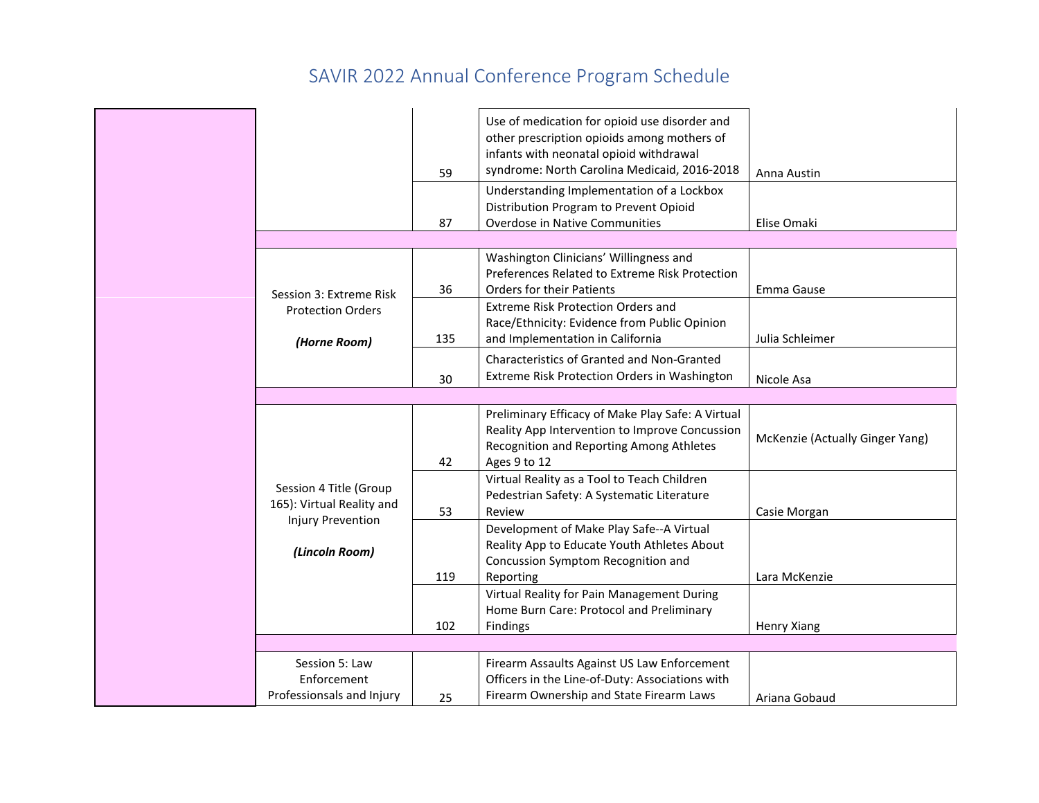|                                                                                 | 59<br>87 | Use of medication for opioid use disorder and<br>other prescription opioids among mothers of<br>infants with neonatal opioid withdrawal<br>syndrome: North Carolina Medicaid, 2016-2018<br>Understanding Implementation of a Lockbox<br>Distribution Program to Prevent Opioid<br>Overdose in Native Communities | Anna Austin<br>Elise Omaki      |
|---------------------------------------------------------------------------------|----------|------------------------------------------------------------------------------------------------------------------------------------------------------------------------------------------------------------------------------------------------------------------------------------------------------------------|---------------------------------|
|                                                                                 |          |                                                                                                                                                                                                                                                                                                                  |                                 |
| Session 3: Extreme Risk                                                         | 36       | Washington Clinicians' Willingness and<br>Preferences Related to Extreme Risk Protection<br><b>Orders for their Patients</b>                                                                                                                                                                                     | Emma Gause                      |
| <b>Protection Orders</b><br>(Horne Room)                                        | 135      | <b>Extreme Risk Protection Orders and</b><br>Race/Ethnicity: Evidence from Public Opinion<br>and Implementation in California                                                                                                                                                                                    | Julia Schleimer                 |
|                                                                                 | 30       | Characteristics of Granted and Non-Granted<br>Extreme Risk Protection Orders in Washington                                                                                                                                                                                                                       | Nicole Asa                      |
|                                                                                 |          |                                                                                                                                                                                                                                                                                                                  |                                 |
|                                                                                 | 42       | Preliminary Efficacy of Make Play Safe: A Virtual<br>Reality App Intervention to Improve Concussion<br>Recognition and Reporting Among Athletes<br>Ages 9 to 12                                                                                                                                                  | McKenzie (Actually Ginger Yang) |
| Session 4 Title (Group<br>165): Virtual Reality and<br><b>Injury Prevention</b> | 53       | Virtual Reality as a Tool to Teach Children<br>Pedestrian Safety: A Systematic Literature<br>Review                                                                                                                                                                                                              | Casie Morgan                    |
| (Lincoln Room)                                                                  | 119      | Development of Make Play Safe--A Virtual<br>Reality App to Educate Youth Athletes About<br>Concussion Symptom Recognition and<br>Reporting                                                                                                                                                                       | Lara McKenzie                   |
|                                                                                 | 102      | Virtual Reality for Pain Management During<br>Home Burn Care: Protocol and Preliminary<br>Findings                                                                                                                                                                                                               | <b>Henry Xiang</b>              |
|                                                                                 |          |                                                                                                                                                                                                                                                                                                                  |                                 |
| Session 5: Law<br>Enforcement<br>Professionsals and Injury                      | 25       | Firearm Assaults Against US Law Enforcement<br>Officers in the Line-of-Duty: Associations with<br>Firearm Ownership and State Firearm Laws                                                                                                                                                                       | Ariana Gobaud                   |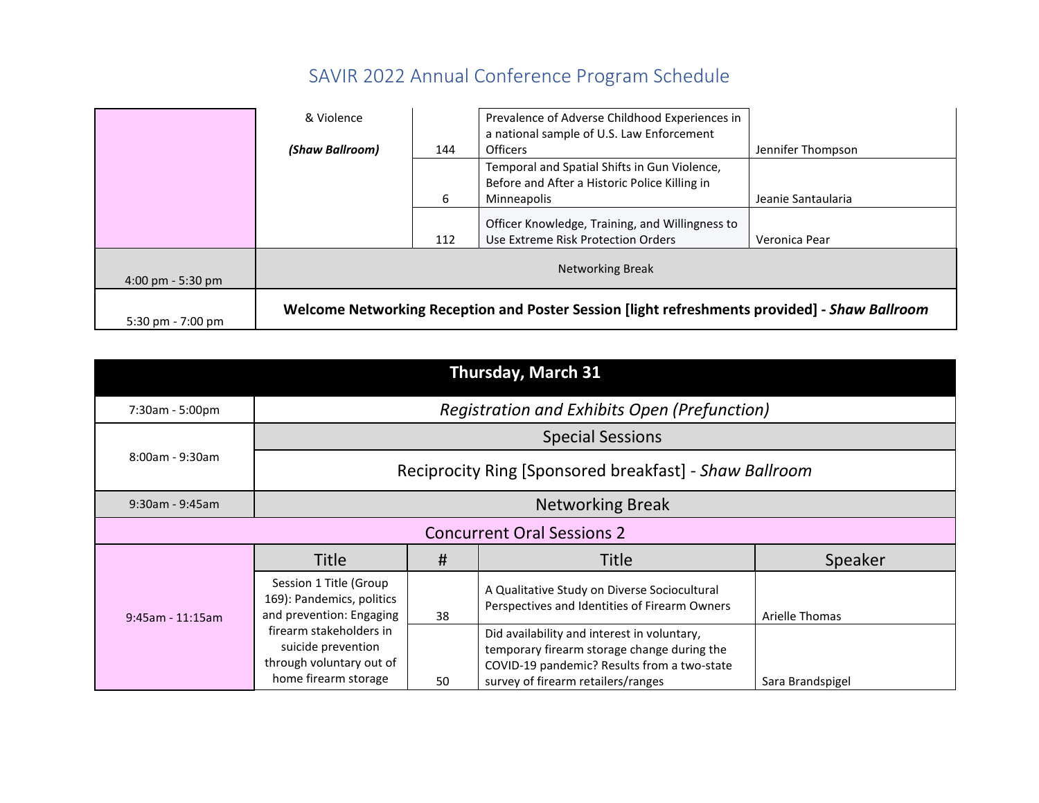|                                     | & Violence      |          | Prevalence of Adverse Childhood Experiences in<br>a national sample of U.S. Law Enforcement                                     |                                         |
|-------------------------------------|-----------------|----------|---------------------------------------------------------------------------------------------------------------------------------|-----------------------------------------|
|                                     | (Shaw Ballroom) | 144<br>6 | <b>Officers</b><br>Temporal and Spatial Shifts in Gun Violence,<br>Before and After a Historic Police Killing in<br>Minneapolis | Jennifer Thompson<br>Jeanie Santaularia |
|                                     |                 | 112      | Officer Knowledge, Training, and Willingness to<br>Use Extreme Risk Protection Orders                                           | Veronica Pear                           |
| $4:00 \text{ pm} - 5:30 \text{ pm}$ |                 |          | <b>Networking Break</b>                                                                                                         |                                         |
| $5:30 \text{ pm} - 7:00 \text{ pm}$ |                 |          | Welcome Networking Reception and Poster Session [light refreshments provided] - Shaw Ballroom                                   |                                         |

| <b>Thursday, March 31</b> |                                                                                                            |    |                                                                                                                                              |                  |  |
|---------------------------|------------------------------------------------------------------------------------------------------------|----|----------------------------------------------------------------------------------------------------------------------------------------------|------------------|--|
| 7:30am - 5:00pm           |                                                                                                            |    | <b>Registration and Exhibits Open (Prefunction)</b>                                                                                          |                  |  |
|                           |                                                                                                            |    | <b>Special Sessions</b>                                                                                                                      |                  |  |
| 8:00am - 9:30am           |                                                                                                            |    | Reciprocity Ring [Sponsored breakfast] - Shaw Ballroom                                                                                       |                  |  |
| $9:30$ am - $9:45$ am     | <b>Networking Break</b>                                                                                    |    |                                                                                                                                              |                  |  |
|                           |                                                                                                            |    | <b>Concurrent Oral Sessions 2</b>                                                                                                            |                  |  |
|                           | <b>Title</b>                                                                                               | #  | <b>Title</b>                                                                                                                                 | Speaker          |  |
| $9:45$ am - 11:15am       | Session 1 Title (Group<br>169): Pandemics, politics<br>and prevention: Engaging<br>firearm stakeholders in | 38 | A Qualitative Study on Diverse Sociocultural<br>Perspectives and Identities of Firearm Owners<br>Did availability and interest in voluntary, | Arielle Thomas   |  |
|                           | suicide prevention<br>through voluntary out of<br>home firearm storage                                     | 50 | temporary firearm storage change during the<br>COVID-19 pandemic? Results from a two-state<br>survey of firearm retailers/ranges             | Sara Brandspigel |  |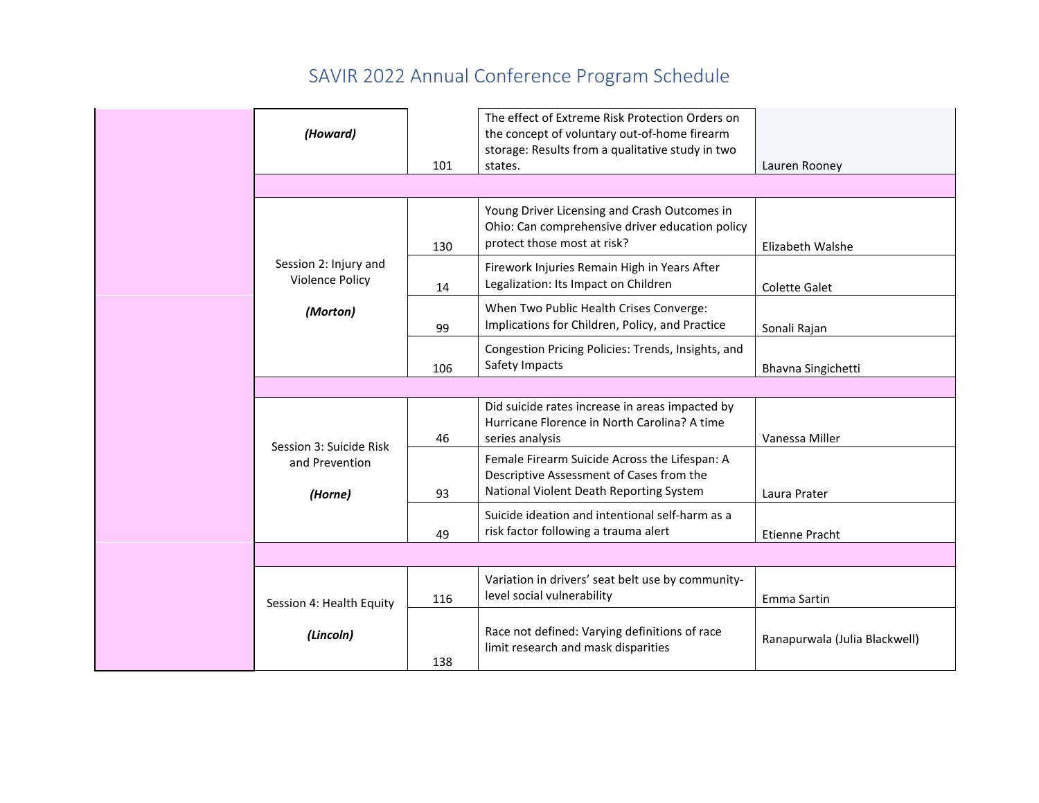|                          |     | The effect of Extreme Risk Protection Orders on    |                               |
|--------------------------|-----|----------------------------------------------------|-------------------------------|
| (Howard)                 |     | the concept of voluntary out-of-home firearm       |                               |
|                          |     | storage: Results from a qualitative study in two   |                               |
|                          | 101 | states.                                            | Lauren Rooney                 |
|                          |     |                                                    |                               |
|                          |     | Young Driver Licensing and Crash Outcomes in       |                               |
|                          |     | Ohio: Can comprehensive driver education policy    |                               |
|                          | 130 | protect those most at risk?                        | Elizabeth Walshe              |
| Session 2: Injury and    |     | Firework Injuries Remain High in Years After       |                               |
| <b>Violence Policy</b>   | 14  | Legalization: Its Impact on Children               | <b>Colette Galet</b>          |
|                          |     | When Two Public Health Crises Converge:            |                               |
| (Morton)                 |     | Implications for Children, Policy, and Practice    |                               |
|                          | 99  |                                                    | Sonali Rajan                  |
|                          |     | Congestion Pricing Policies: Trends, Insights, and |                               |
|                          | 106 | Safety Impacts                                     | Bhavna Singichetti            |
|                          |     |                                                    |                               |
|                          |     | Did suicide rates increase in areas impacted by    |                               |
|                          |     | Hurricane Florence in North Carolina? A time       |                               |
| Session 3: Suicide Risk  | 46  | series analysis                                    | Vanessa Miller                |
| and Prevention           |     | Female Firearm Suicide Across the Lifespan: A      |                               |
|                          |     | Descriptive Assessment of Cases from the           |                               |
| (Horne)                  | 93  | National Violent Death Reporting System            | Laura Prater                  |
|                          |     | Suicide ideation and intentional self-harm as a    |                               |
|                          | 49  | risk factor following a trauma alert               | <b>Etienne Pracht</b>         |
|                          |     |                                                    |                               |
|                          |     | Variation in drivers' seat belt use by community-  |                               |
|                          | 116 | level social vulnerability                         | Emma Sartin                   |
| Session 4: Health Equity |     |                                                    |                               |
| (Lincoln)                |     | Race not defined: Varying definitions of race      |                               |
|                          |     | limit research and mask disparities                | Ranapurwala (Julia Blackwell) |
|                          | 138 |                                                    |                               |
|                          |     |                                                    |                               |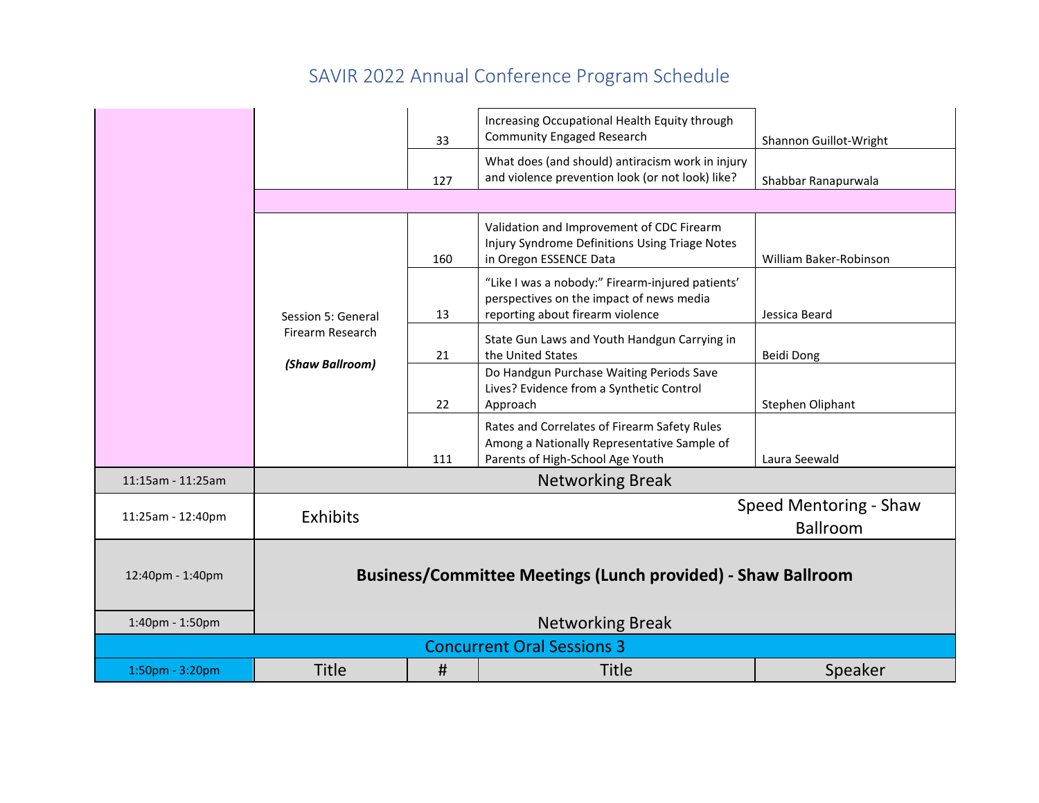|                   |                    | 33                                | Increasing Occupational Health Equity through<br><b>Community Engaged Research</b>                                               | Shannon Guillot-Wright                    |
|-------------------|--------------------|-----------------------------------|----------------------------------------------------------------------------------------------------------------------------------|-------------------------------------------|
|                   |                    | 127                               | What does (and should) antiracism work in injury<br>and violence prevention look (or not look) like?                             | Shabbar Ranapurwala                       |
|                   |                    |                                   |                                                                                                                                  |                                           |
|                   |                    | 160                               | Validation and Improvement of CDC Firearm<br>Injury Syndrome Definitions Using Triage Notes<br>in Oregon ESSENCE Data            | William Baker-Robinson                    |
|                   | Session 5: General | 13                                | "Like I was a nobody:" Firearm-injured patients'<br>perspectives on the impact of news media<br>reporting about firearm violence | Jessica Beard                             |
|                   | Firearm Research   | 21                                | State Gun Laws and Youth Handgun Carrying in<br>the United States                                                                | Beidi Dong                                |
|                   | (Shaw Ballroom)    | 22                                | Do Handgun Purchase Waiting Periods Save<br>Lives? Evidence from a Synthetic Control<br>Approach                                 | Stephen Oliphant                          |
|                   |                    | 111                               | Rates and Correlates of Firearm Safety Rules<br>Among a Nationally Representative Sample of<br>Parents of High-School Age Youth  | Laura Seewald                             |
| 11:15am - 11:25am |                    |                                   | <b>Networking Break</b>                                                                                                          |                                           |
| 11:25am - 12:40pm | Exhibits           |                                   |                                                                                                                                  | Speed Mentoring - Shaw<br><b>Ballroom</b> |
| 12:40pm - 1:40pm  |                    |                                   | Business/Committee Meetings (Lunch provided) - Shaw Ballroom                                                                     |                                           |
| 1:40pm - 1:50pm   |                    |                                   | <b>Networking Break</b>                                                                                                          |                                           |
|                   |                    | <b>Concurrent Oral Sessions 3</b> |                                                                                                                                  |                                           |
| 1:50pm - 3:20pm   | <b>Title</b>       | #                                 | <b>Title</b>                                                                                                                     | Speaker                                   |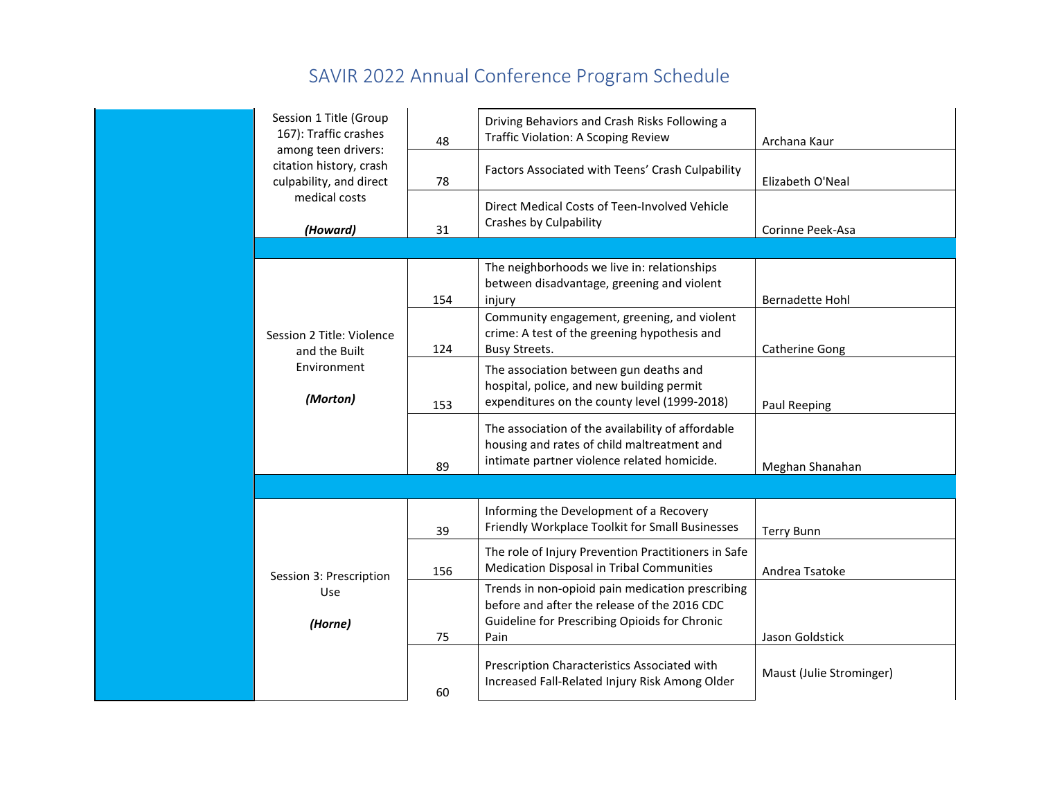| Session 1 Title (Group<br>167): Traffic crashes<br>among teen drivers: | 48  | Driving Behaviors and Crash Risks Following a<br><b>Traffic Violation: A Scoping Review</b>                                                               | Archana Kaur             |
|------------------------------------------------------------------------|-----|-----------------------------------------------------------------------------------------------------------------------------------------------------------|--------------------------|
| citation history, crash<br>culpability, and direct                     | 78  | Factors Associated with Teens' Crash Culpability                                                                                                          | Elizabeth O'Neal         |
| medical costs<br>(Howard)                                              | 31  | Direct Medical Costs of Teen-Involved Vehicle<br>Crashes by Culpability                                                                                   | Corinne Peek-Asa         |
|                                                                        |     |                                                                                                                                                           |                          |
|                                                                        | 154 | The neighborhoods we live in: relationships<br>between disadvantage, greening and violent<br>injury                                                       | <b>Bernadette Hohl</b>   |
| Session 2 Title: Violence<br>and the Built                             | 124 | Community engagement, greening, and violent<br>crime: A test of the greening hypothesis and<br><b>Busy Streets.</b>                                       | <b>Catherine Gong</b>    |
| Environment<br>(Morton)                                                | 153 | The association between gun deaths and<br>hospital, police, and new building permit<br>expenditures on the county level (1999-2018)                       | Paul Reeping             |
|                                                                        | 89  | The association of the availability of affordable<br>housing and rates of child maltreatment and<br>intimate partner violence related homicide.           | Meghan Shanahan          |
|                                                                        |     |                                                                                                                                                           |                          |
|                                                                        | 39  | Informing the Development of a Recovery<br>Friendly Workplace Toolkit for Small Businesses                                                                | <b>Terry Bunn</b>        |
| Session 3: Prescription                                                | 156 | The role of Injury Prevention Practitioners in Safe<br>Medication Disposal in Tribal Communities                                                          | Andrea Tsatoke           |
| Use<br>(Horne)                                                         | 75  | Trends in non-opioid pain medication prescribing<br>before and after the release of the 2016 CDC<br>Guideline for Prescribing Opioids for Chronic<br>Pain | Jason Goldstick          |
|                                                                        | 60  | Prescription Characteristics Associated with<br>Increased Fall-Related Injury Risk Among Older                                                            | Maust (Julie Strominger) |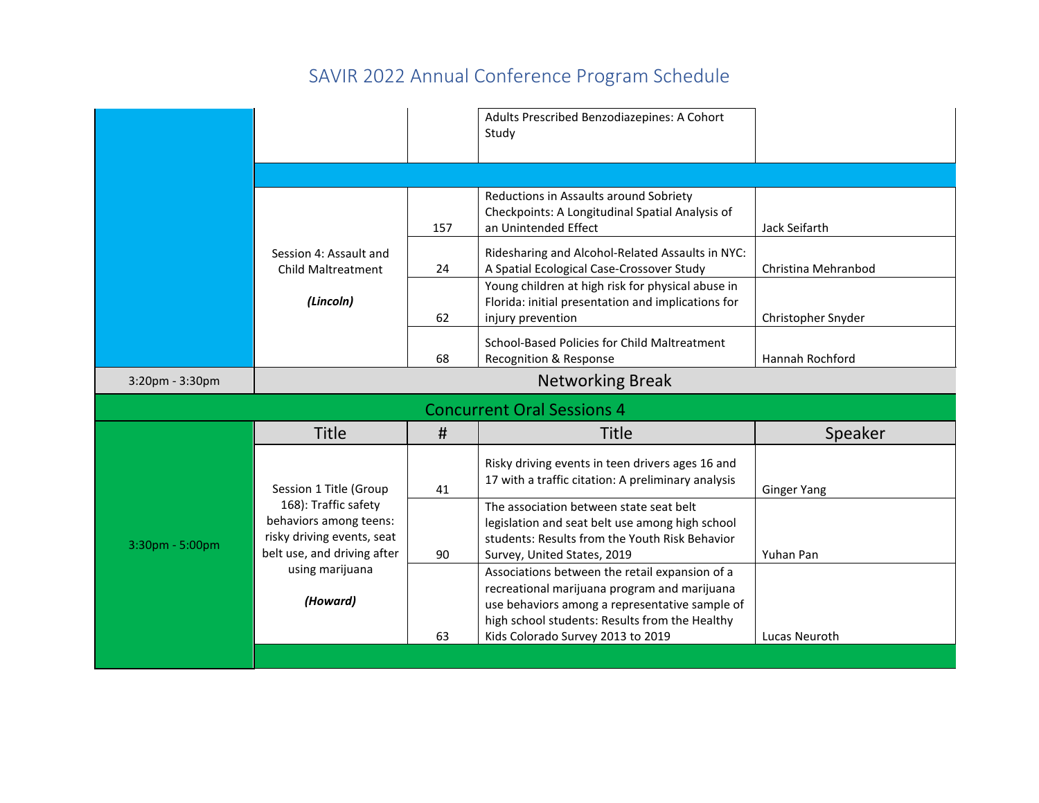|                 |                                                                                                             |     | Adults Prescribed Benzodiazepines: A Cohort<br>Study                                                                                                                                               |                     |
|-----------------|-------------------------------------------------------------------------------------------------------------|-----|----------------------------------------------------------------------------------------------------------------------------------------------------------------------------------------------------|---------------------|
|                 |                                                                                                             |     |                                                                                                                                                                                                    |                     |
|                 |                                                                                                             | 157 | Reductions in Assaults around Sobriety<br>Checkpoints: A Longitudinal Spatial Analysis of<br>an Unintended Effect                                                                                  | Jack Seifarth       |
|                 | Session 4: Assault and<br><b>Child Maltreatment</b>                                                         | 24  | Ridesharing and Alcohol-Related Assaults in NYC:<br>A Spatial Ecological Case-Crossover Study                                                                                                      | Christina Mehranbod |
|                 | (Lincoln)                                                                                                   | 62  | Young children at high risk for physical abuse in<br>Florida: initial presentation and implications for<br>injury prevention                                                                       | Christopher Snyder  |
|                 |                                                                                                             | 68  | School-Based Policies for Child Maltreatment<br>Recognition & Response                                                                                                                             | Hannah Rochford     |
| 3:20pm - 3:30pm |                                                                                                             |     | <b>Networking Break</b>                                                                                                                                                                            |                     |
|                 |                                                                                                             |     | <b>Concurrent Oral Sessions 4</b>                                                                                                                                                                  |                     |
|                 | <b>Title</b>                                                                                                | #   | <b>Title</b>                                                                                                                                                                                       | Speaker             |
|                 | Session 1 Title (Group                                                                                      | 41  | Risky driving events in teen drivers ages 16 and<br>17 with a traffic citation: A preliminary analysis                                                                                             | <b>Ginger Yang</b>  |
| 3:30pm - 5:00pm | 168): Traffic safety<br>behaviors among teens:<br>risky driving events, seat<br>belt use, and driving after | 90  | The association between state seat belt<br>legislation and seat belt use among high school<br>students: Results from the Youth Risk Behavior<br>Survey, United States, 2019                        | Yuhan Pan           |
|                 | using marijuana<br>(Howard)                                                                                 |     | Associations between the retail expansion of a<br>recreational marijuana program and marijuana<br>use behaviors among a representative sample of<br>high school students: Results from the Healthy |                     |
|                 |                                                                                                             | 63  | Kids Colorado Survey 2013 to 2019                                                                                                                                                                  | Lucas Neuroth       |
|                 |                                                                                                             |     |                                                                                                                                                                                                    |                     |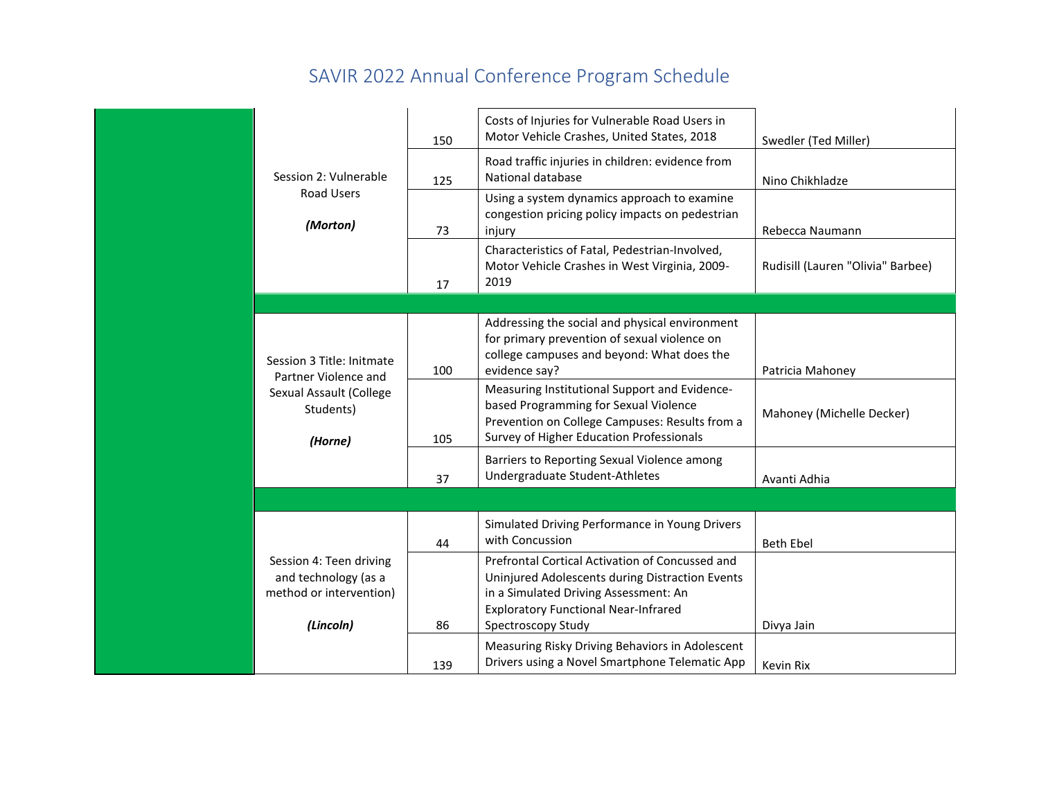|                                                                                         | 150 | Costs of Injuries for Vulnerable Road Users in<br>Motor Vehicle Crashes, United States, 2018                                                                                                                     | Swedler (Ted Miller)              |
|-----------------------------------------------------------------------------------------|-----|------------------------------------------------------------------------------------------------------------------------------------------------------------------------------------------------------------------|-----------------------------------|
| Session 2: Vulnerable                                                                   | 125 | Road traffic injuries in children: evidence from<br>National database                                                                                                                                            | Nino Chikhladze                   |
| <b>Road Users</b><br>(Morton)                                                           | 73  | Using a system dynamics approach to examine<br>congestion pricing policy impacts on pedestrian<br>injury                                                                                                         | Rebecca Naumann                   |
|                                                                                         | 17  | Characteristics of Fatal, Pedestrian-Involved,<br>Motor Vehicle Crashes in West Virginia, 2009-<br>2019                                                                                                          | Rudisill (Lauren "Olivia" Barbee) |
|                                                                                         |     |                                                                                                                                                                                                                  |                                   |
| Session 3 Title: Initmate<br>Partner Violence and                                       | 100 | Addressing the social and physical environment<br>for primary prevention of sexual violence on<br>college campuses and beyond: What does the<br>evidence say?                                                    | Patricia Mahoney                  |
| Sexual Assault (College<br>Students)<br>(Horne)                                         | 105 | Measuring Institutional Support and Evidence-<br>based Programming for Sexual Violence<br>Prevention on College Campuses: Results from a<br>Survey of Higher Education Professionals                             | Mahoney (Michelle Decker)         |
|                                                                                         | 37  | Barriers to Reporting Sexual Violence among<br>Undergraduate Student-Athletes                                                                                                                                    | Avanti Adhia                      |
|                                                                                         |     |                                                                                                                                                                                                                  |                                   |
|                                                                                         | 44  | Simulated Driving Performance in Young Drivers<br>with Concussion                                                                                                                                                | <b>Beth Ebel</b>                  |
| Session 4: Teen driving<br>and technology (as a<br>method or intervention)<br>(Lincoln) | 86  | Prefrontal Cortical Activation of Concussed and<br>Uninjured Adolescents during Distraction Events<br>in a Simulated Driving Assessment: An<br><b>Exploratory Functional Near-Infrared</b><br>Spectroscopy Study | Divya Jain                        |
|                                                                                         | 139 | Measuring Risky Driving Behaviors in Adolescent<br>Drivers using a Novel Smartphone Telematic App                                                                                                                | Kevin Rix                         |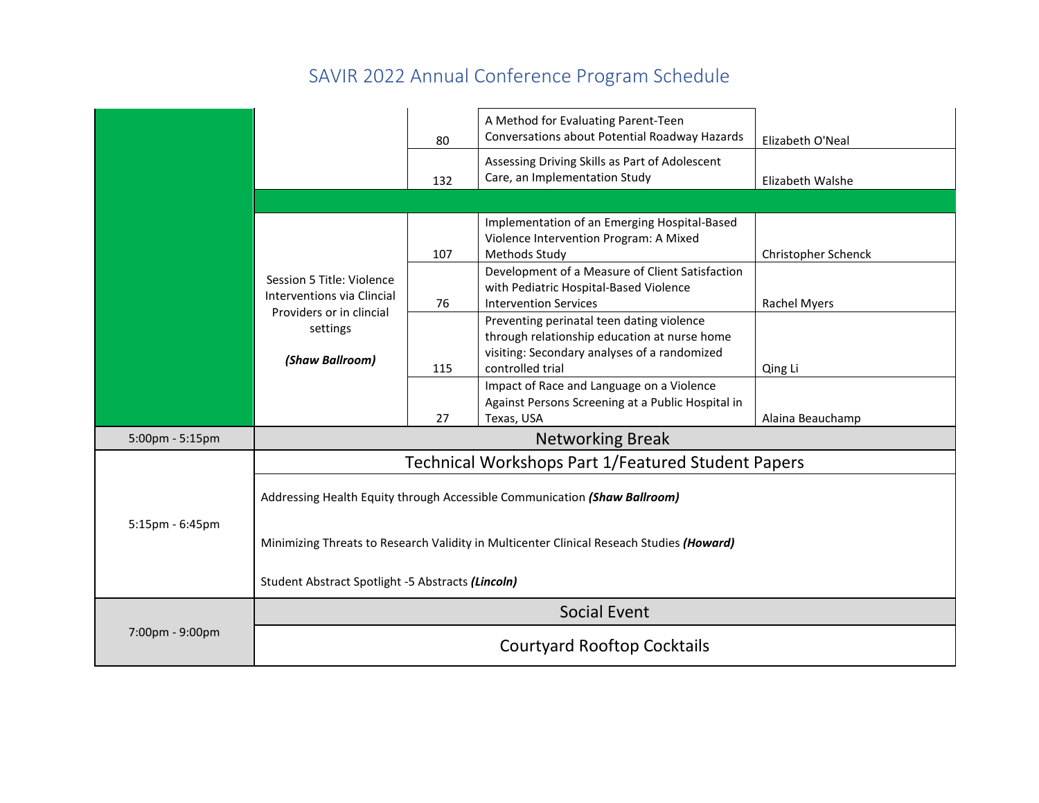|                 |                                                         | 80  | A Method for Evaluating Parent-Teen<br>Conversations about Potential Roadway Hazards                                                                          | Elizabeth O'Neal    |
|-----------------|---------------------------------------------------------|-----|---------------------------------------------------------------------------------------------------------------------------------------------------------------|---------------------|
|                 |                                                         | 132 | Assessing Driving Skills as Part of Adolescent<br>Care, an Implementation Study                                                                               | Elizabeth Walshe    |
|                 |                                                         |     |                                                                                                                                                               |                     |
|                 |                                                         | 107 | Implementation of an Emerging Hospital-Based<br>Violence Intervention Program: A Mixed<br>Methods Study                                                       | Christopher Schenck |
|                 | Session 5 Title: Violence<br>Interventions via Clincial | 76  | Development of a Measure of Client Satisfaction<br>with Pediatric Hospital-Based Violence<br><b>Intervention Services</b>                                     | Rachel Myers        |
|                 | Providers or in clincial<br>settings<br>(Shaw Ballroom) | 115 | Preventing perinatal teen dating violence<br>through relationship education at nurse home<br>visiting: Secondary analyses of a randomized<br>controlled trial | Qing Li             |
|                 |                                                         | 27  | Impact of Race and Language on a Violence<br>Against Persons Screening at a Public Hospital in<br>Texas, USA                                                  | Alaina Beauchamp    |
| 5:00pm - 5:15pm |                                                         |     | <b>Networking Break</b>                                                                                                                                       |                     |
|                 |                                                         |     | Technical Workshops Part 1/Featured Student Papers                                                                                                            |                     |
|                 |                                                         |     | Addressing Health Equity through Accessible Communication (Shaw Ballroom)                                                                                     |                     |
| 5:15pm - 6:45pm |                                                         |     | Minimizing Threats to Research Validity in Multicenter Clinical Reseach Studies (Howard)                                                                      |                     |
|                 | Student Abstract Spotlight -5 Abstracts (Lincoln)       |     |                                                                                                                                                               |                     |
|                 |                                                         |     | <b>Social Event</b>                                                                                                                                           |                     |
| 7:00pm - 9:00pm |                                                         |     | <b>Courtyard Rooftop Cocktails</b>                                                                                                                            |                     |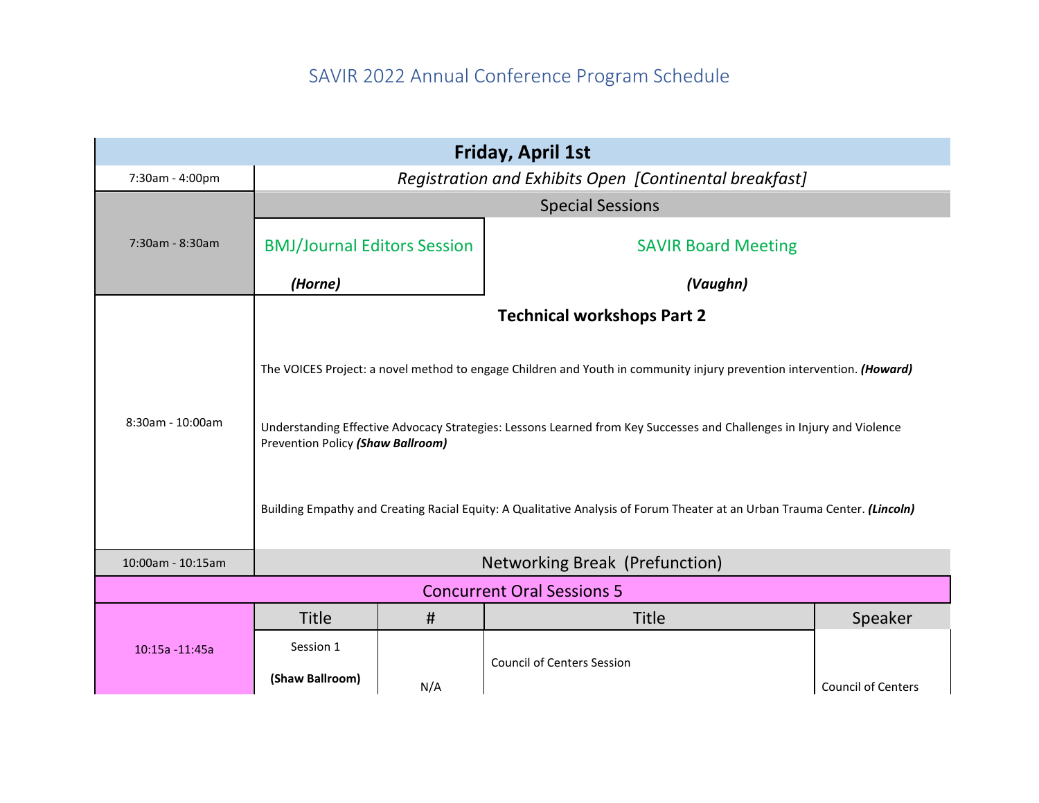|                   |                                                        |     | <b>Friday, April 1st</b>                                                                                                                                                                                                                                                                                                                                                    |                           |  |  |
|-------------------|--------------------------------------------------------|-----|-----------------------------------------------------------------------------------------------------------------------------------------------------------------------------------------------------------------------------------------------------------------------------------------------------------------------------------------------------------------------------|---------------------------|--|--|
| 7:30am - 4:00pm   | Registration and Exhibits Open [Continental breakfast] |     |                                                                                                                                                                                                                                                                                                                                                                             |                           |  |  |
|                   |                                                        |     | <b>Special Sessions</b>                                                                                                                                                                                                                                                                                                                                                     |                           |  |  |
| 7:30am - 8:30am   | <b>BMJ/Journal Editors Session</b>                     |     | <b>SAVIR Board Meeting</b>                                                                                                                                                                                                                                                                                                                                                  |                           |  |  |
|                   | (Horne)                                                |     | (Vaughn)                                                                                                                                                                                                                                                                                                                                                                    |                           |  |  |
|                   |                                                        |     | <b>Technical workshops Part 2</b>                                                                                                                                                                                                                                                                                                                                           |                           |  |  |
| 8:30am - 10:00am  | Prevention Policy (Shaw Ballroom)                      |     | The VOICES Project: a novel method to engage Children and Youth in community injury prevention intervention. (Howard)<br>Understanding Effective Advocacy Strategies: Lessons Learned from Key Successes and Challenges in Injury and Violence<br>Building Empathy and Creating Racial Equity: A Qualitative Analysis of Forum Theater at an Urban Trauma Center. (Lincoln) |                           |  |  |
| 10:00am - 10:15am |                                                        |     | Networking Break (Prefunction)                                                                                                                                                                                                                                                                                                                                              |                           |  |  |
|                   |                                                        |     | <b>Concurrent Oral Sessions 5</b>                                                                                                                                                                                                                                                                                                                                           |                           |  |  |
|                   | <b>Title</b>                                           | #   | <b>Title</b>                                                                                                                                                                                                                                                                                                                                                                | Speaker                   |  |  |
| 10:15a -11:45a    | Session 1                                              |     |                                                                                                                                                                                                                                                                                                                                                                             |                           |  |  |
|                   | (Shaw Ballroom)                                        | N/A | <b>Council of Centers Session</b>                                                                                                                                                                                                                                                                                                                                           | <b>Council of Centers</b> |  |  |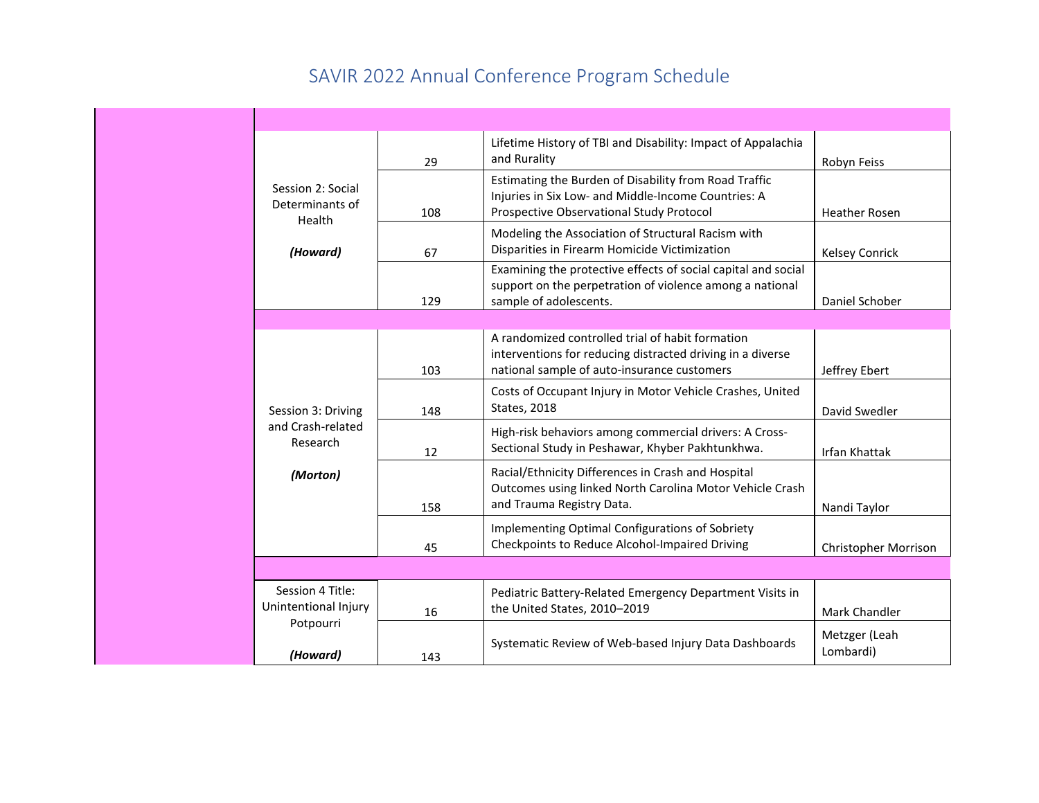|                                                | 29  | Lifetime History of TBI and Disability: Impact of Appalachia<br>and Rurality                                                                                  | Robyn Feiss                |
|------------------------------------------------|-----|---------------------------------------------------------------------------------------------------------------------------------------------------------------|----------------------------|
| Session 2: Social<br>Determinants of<br>Health | 108 | Estimating the Burden of Disability from Road Traffic<br>Injuries in Six Low- and Middle-Income Countries: A<br>Prospective Observational Study Protocol      | <b>Heather Rosen</b>       |
| (Howard)                                       | 67  | Modeling the Association of Structural Racism with<br>Disparities in Firearm Homicide Victimization                                                           | <b>Kelsey Conrick</b>      |
|                                                | 129 | Examining the protective effects of social capital and social<br>support on the perpetration of violence among a national<br>sample of adolescents.           | Daniel Schober             |
|                                                |     |                                                                                                                                                               |                            |
|                                                | 103 | A randomized controlled trial of habit formation<br>interventions for reducing distracted driving in a diverse<br>national sample of auto-insurance customers | Jeffrey Ebert              |
| Session 3: Driving                             | 148 | Costs of Occupant Injury in Motor Vehicle Crashes, United<br><b>States, 2018</b>                                                                              | David Swedler              |
| and Crash-related<br>Research                  | 12  | High-risk behaviors among commercial drivers: A Cross-<br>Sectional Study in Peshawar, Khyber Pakhtunkhwa.                                                    | <b>Irfan Khattak</b>       |
| (Morton)                                       | 158 | Racial/Ethnicity Differences in Crash and Hospital<br>Outcomes using linked North Carolina Motor Vehicle Crash<br>and Trauma Registry Data.                   | Nandi Taylor               |
|                                                | 45  | Implementing Optimal Configurations of Sobriety<br>Checkpoints to Reduce Alcohol-Impaired Driving                                                             | Christopher Morrison       |
|                                                |     |                                                                                                                                                               |                            |
| Session 4 Title:<br>Unintentional Injury       | 16  | Pediatric Battery-Related Emergency Department Visits in<br>the United States, 2010-2019                                                                      | Mark Chandler              |
| Potpourri<br>(Howard)                          | 143 | Systematic Review of Web-based Injury Data Dashboards                                                                                                         | Metzger (Leah<br>Lombardi) |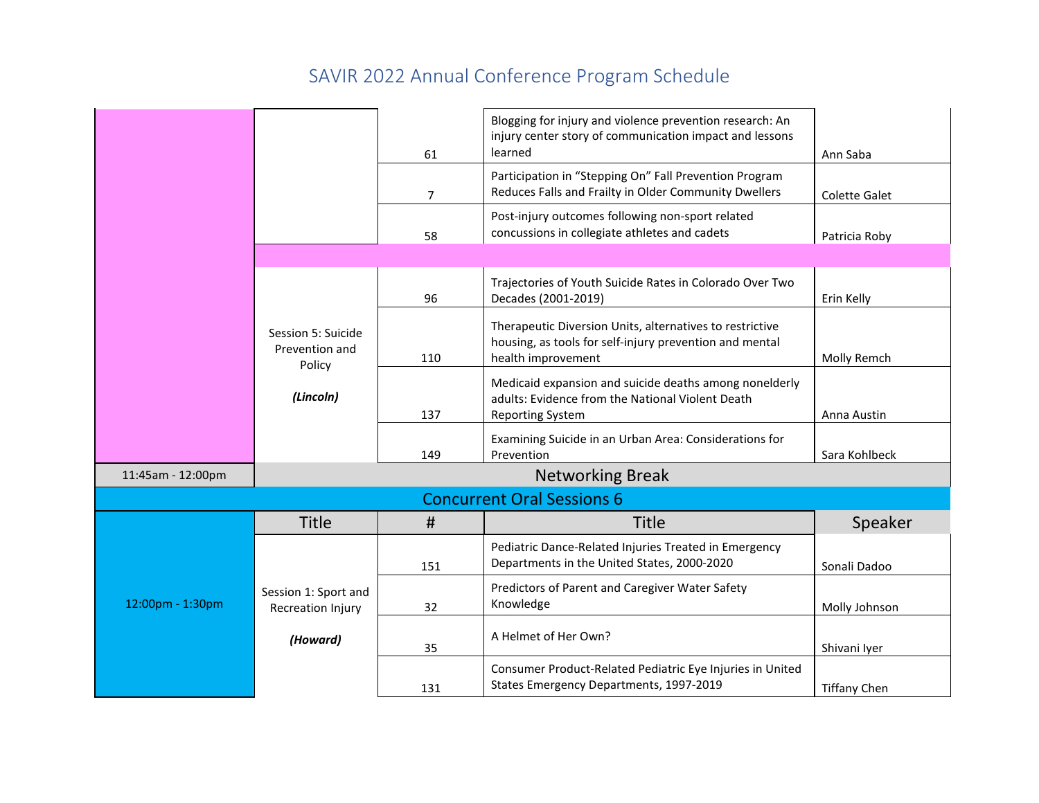|                   |                                                | 61             | Blogging for injury and violence prevention research: An<br>injury center story of communication impact and lessons<br>learned            | Ann Saba             |
|-------------------|------------------------------------------------|----------------|-------------------------------------------------------------------------------------------------------------------------------------------|----------------------|
|                   |                                                | $\overline{7}$ | Participation in "Stepping On" Fall Prevention Program<br>Reduces Falls and Frailty in Older Community Dwellers                           | <b>Colette Galet</b> |
|                   |                                                | 58             | Post-injury outcomes following non-sport related<br>concussions in collegiate athletes and cadets                                         | Patricia Roby        |
|                   |                                                |                |                                                                                                                                           |                      |
|                   |                                                | 96             | Trajectories of Youth Suicide Rates in Colorado Over Two<br>Decades (2001-2019)                                                           | Erin Kelly           |
|                   | Session 5: Suicide<br>Prevention and<br>Policy | 110            | Therapeutic Diversion Units, alternatives to restrictive<br>housing, as tools for self-injury prevention and mental<br>health improvement | Molly Remch          |
|                   | (Lincoln)                                      | 137            | Medicaid expansion and suicide deaths among nonelderly<br>adults: Evidence from the National Violent Death<br><b>Reporting System</b>     | Anna Austin          |
|                   |                                                | 149            | Examining Suicide in an Urban Area: Considerations for<br>Prevention                                                                      | Sara Kohlbeck        |
| 11:45am - 12:00pm | <b>Networking Break</b>                        |                |                                                                                                                                           |                      |
|                   |                                                |                | <b>Concurrent Oral Sessions 6</b>                                                                                                         |                      |
|                   | <b>Title</b>                                   | #              | <b>Title</b>                                                                                                                              | Speaker              |
|                   |                                                | 151            | Pediatric Dance-Related Injuries Treated in Emergency<br>Departments in the United States, 2000-2020                                      | Sonali Dadoo         |
| 12:00pm - 1:30pm  | Session 1: Sport and<br>Recreation Injury      | 32             | Predictors of Parent and Caregiver Water Safety<br>Knowledge                                                                              | Molly Johnson        |
|                   | (Howard)                                       | 35             | A Helmet of Her Own?                                                                                                                      | Shivani Iyer         |
|                   |                                                | 131            | Consumer Product-Related Pediatric Eye Injuries in United<br>States Emergency Departments, 1997-2019                                      | <b>Tiffany Chen</b>  |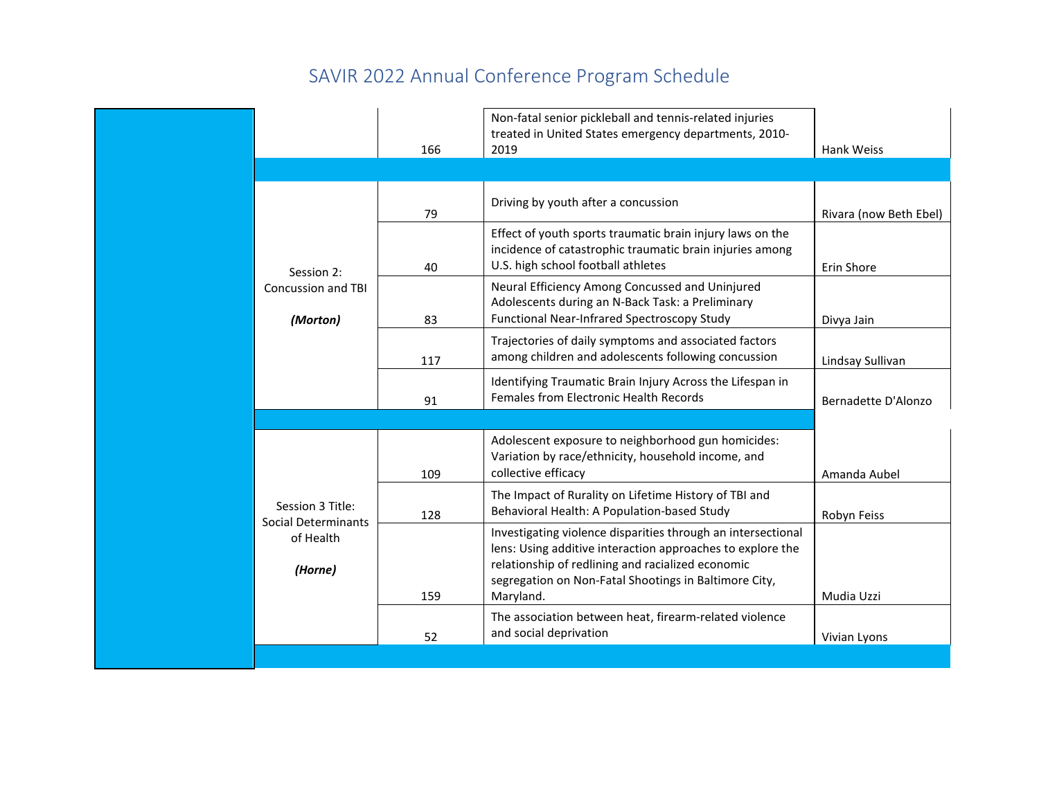|                                         |     | Non-fatal senior pickleball and tennis-related injuries                                                                                                                                                                                               |                        |
|-----------------------------------------|-----|-------------------------------------------------------------------------------------------------------------------------------------------------------------------------------------------------------------------------------------------------------|------------------------|
|                                         |     | treated in United States emergency departments, 2010-                                                                                                                                                                                                 |                        |
|                                         | 166 | 2019                                                                                                                                                                                                                                                  | Hank Weiss             |
|                                         |     |                                                                                                                                                                                                                                                       |                        |
|                                         |     |                                                                                                                                                                                                                                                       |                        |
|                                         | 79  | Driving by youth after a concussion                                                                                                                                                                                                                   | Rivara (now Beth Ebel) |
| Session 2:                              | 40  | Effect of youth sports traumatic brain injury laws on the<br>incidence of catastrophic traumatic brain injuries among<br>U.S. high school football athletes                                                                                           | Erin Shore             |
| <b>Concussion and TBI</b><br>(Morton)   | 83  | Neural Efficiency Among Concussed and Uninjured<br>Adolescents during an N-Back Task: a Preliminary<br>Functional Near-Infrared Spectroscopy Study                                                                                                    | Divya Jain             |
|                                         | 117 | Trajectories of daily symptoms and associated factors<br>among children and adolescents following concussion                                                                                                                                          | Lindsay Sullivan       |
|                                         | 91  | Identifying Traumatic Brain Injury Across the Lifespan in<br>Females from Electronic Health Records                                                                                                                                                   | Bernadette D'Alonzo    |
|                                         |     |                                                                                                                                                                                                                                                       |                        |
|                                         | 109 | Adolescent exposure to neighborhood gun homicides:<br>Variation by race/ethnicity, household income, and<br>collective efficacy                                                                                                                       | Amanda Aubel           |
| Session 3 Title:<br>Social Determinants | 128 | The Impact of Rurality on Lifetime History of TBI and<br>Behavioral Health: A Population-based Study                                                                                                                                                  | Robyn Feiss            |
| of Health<br>(Horne)                    | 159 | Investigating violence disparities through an intersectional<br>lens: Using additive interaction approaches to explore the<br>relationship of redlining and racialized economic<br>segregation on Non-Fatal Shootings in Baltimore City,<br>Maryland. | Mudia Uzzi             |
|                                         | 52  | The association between heat, firearm-related violence<br>and social deprivation                                                                                                                                                                      | Vivian Lyons           |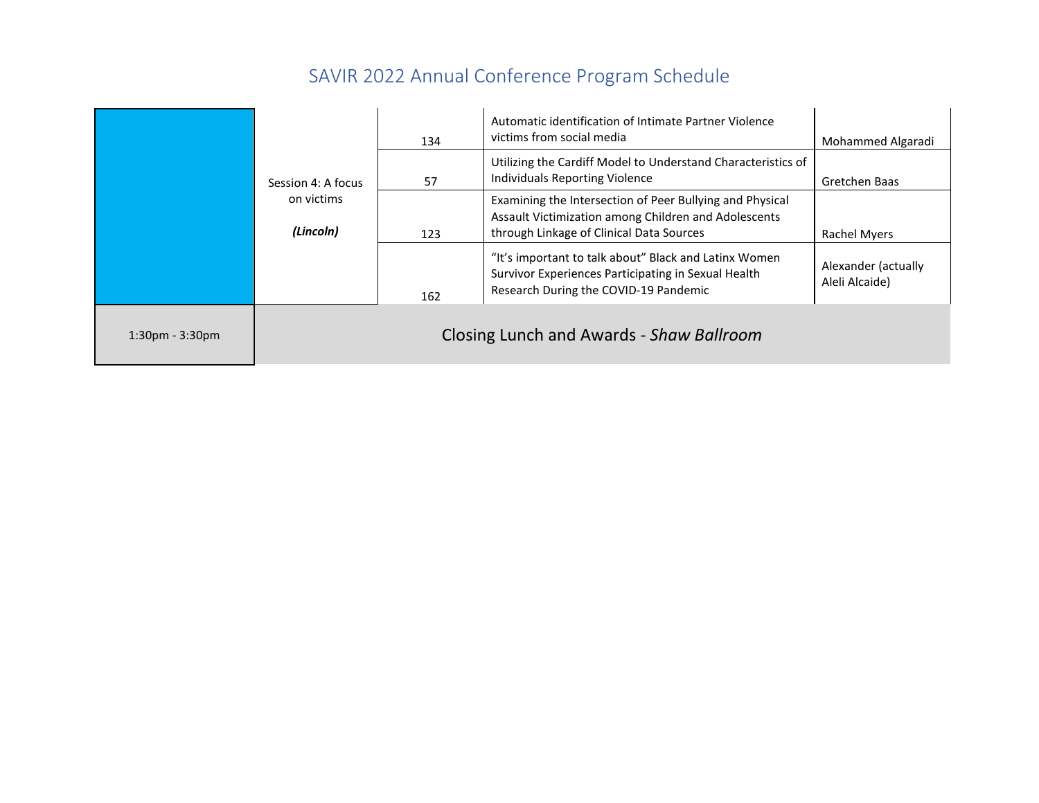|                   |                         | 134 | Automatic identification of Intimate Partner Violence<br>victims from social media                                                                           | Mohammed Algaradi                     |
|-------------------|-------------------------|-----|--------------------------------------------------------------------------------------------------------------------------------------------------------------|---------------------------------------|
|                   | Session 4: A focus      | 57  | Utilizing the Cardiff Model to Understand Characteristics of<br>Individuals Reporting Violence                                                               | Gretchen Baas                         |
|                   | on victims<br>(Lincoln) | 123 | Examining the Intersection of Peer Bullying and Physical<br>Assault Victimization among Children and Adolescents<br>through Linkage of Clinical Data Sources | Rachel Myers                          |
|                   |                         | 162 | "It's important to talk about" Black and Latinx Women<br>Survivor Experiences Participating in Sexual Health<br>Research During the COVID-19 Pandemic        | Alexander (actually<br>Aleli Alcaide) |
| $1:30pm - 3:30pm$ |                         |     | Closing Lunch and Awards - Shaw Ballroom                                                                                                                     |                                       |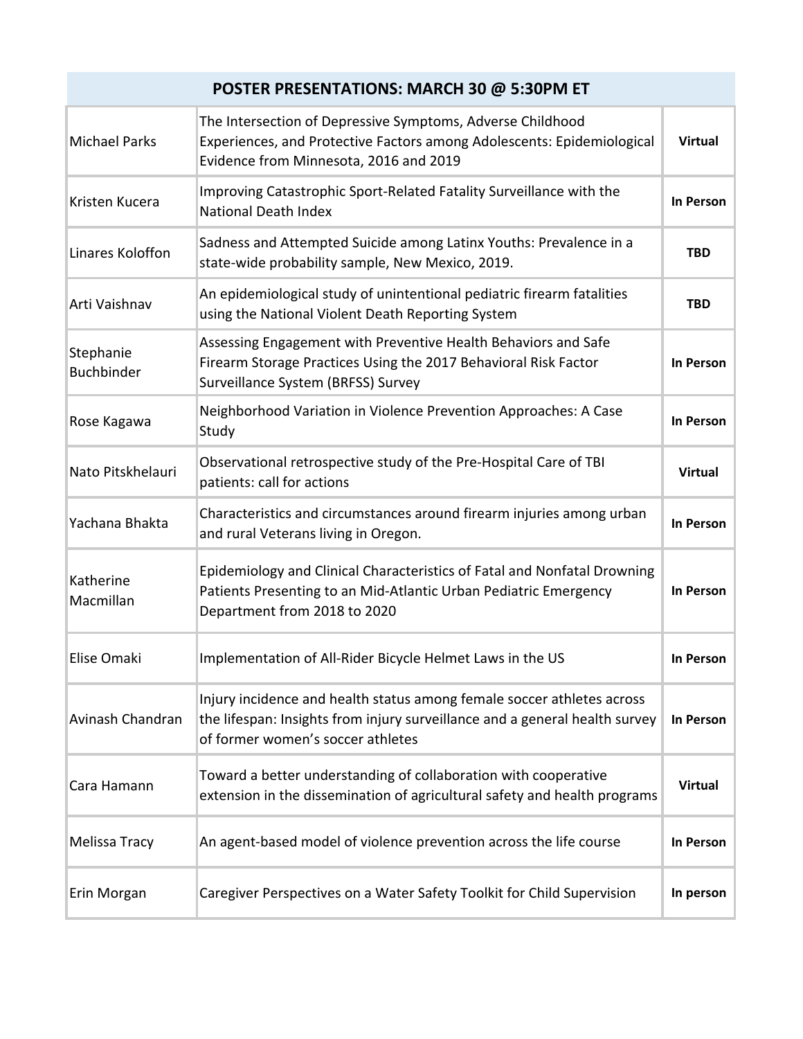## **POSTER PRESENTATIONS: MARCH 30 @ 5:30PM ET**

| <b>Michael Parks</b>           | The Intersection of Depressive Symptoms, Adverse Childhood<br>Experiences, and Protective Factors among Adolescents: Epidemiological<br>Evidence from Minnesota, 2016 and 2019             | <b>Virtual</b> |
|--------------------------------|--------------------------------------------------------------------------------------------------------------------------------------------------------------------------------------------|----------------|
| Kristen Kucera                 | Improving Catastrophic Sport-Related Fatality Surveillance with the<br><b>National Death Index</b>                                                                                         | In Person      |
| Linares Koloffon               | Sadness and Attempted Suicide among Latinx Youths: Prevalence in a<br>state-wide probability sample, New Mexico, 2019.                                                                     | <b>TBD</b>     |
| Arti Vaishnav                  | An epidemiological study of unintentional pediatric firearm fatalities<br>using the National Violent Death Reporting System                                                                | <b>TBD</b>     |
| Stephanie<br><b>Buchbinder</b> | Assessing Engagement with Preventive Health Behaviors and Safe<br>Firearm Storage Practices Using the 2017 Behavioral Risk Factor<br>Surveillance System (BRFSS) Survey                    | In Person      |
| Rose Kagawa                    | Neighborhood Variation in Violence Prevention Approaches: A Case<br>Study                                                                                                                  | In Person      |
| Nato Pitskhelauri              | Observational retrospective study of the Pre-Hospital Care of TBI<br>patients: call for actions                                                                                            | <b>Virtual</b> |
| Yachana Bhakta                 | Characteristics and circumstances around firearm injuries among urban<br>and rural Veterans living in Oregon.                                                                              | In Person      |
| Katherine<br>Macmillan         | Epidemiology and Clinical Characteristics of Fatal and Nonfatal Drowning<br>Patients Presenting to an Mid-Atlantic Urban Pediatric Emergency<br>Department from 2018 to 2020               | In Person      |
| Elise Omaki                    | Implementation of All-Rider Bicycle Helmet Laws in the US                                                                                                                                  | In Person      |
| Avinash Chandran               | Injury incidence and health status among female soccer athletes across<br>the lifespan: Insights from injury surveillance and a general health survey<br>of former women's soccer athletes | In Person      |
| Cara Hamann                    | Toward a better understanding of collaboration with cooperative<br>extension in the dissemination of agricultural safety and health programs                                               | <b>Virtual</b> |
| Melissa Tracy                  | An agent-based model of violence prevention across the life course                                                                                                                         | In Person      |
| Erin Morgan                    | Caregiver Perspectives on a Water Safety Toolkit for Child Supervision                                                                                                                     | In person      |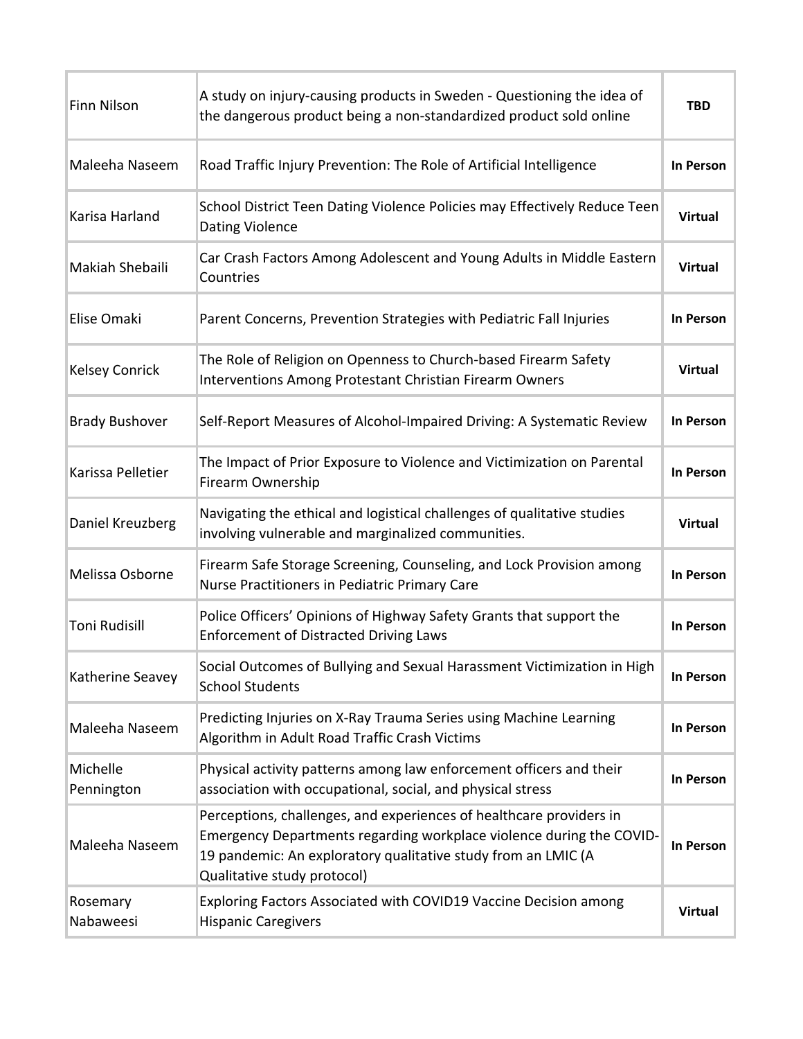| Finn Nilson            | A study on injury-causing products in Sweden - Questioning the idea of<br>the dangerous product being a non-standardized product sold online                                                                                                | <b>TBD</b>     |
|------------------------|---------------------------------------------------------------------------------------------------------------------------------------------------------------------------------------------------------------------------------------------|----------------|
| Maleeha Naseem         | Road Traffic Injury Prevention: The Role of Artificial Intelligence                                                                                                                                                                         | In Person      |
| Karisa Harland         | School District Teen Dating Violence Policies may Effectively Reduce Teen<br><b>Dating Violence</b>                                                                                                                                         | <b>Virtual</b> |
| Makiah Shebaili        | Car Crash Factors Among Adolescent and Young Adults in Middle Eastern<br>Countries                                                                                                                                                          | <b>Virtual</b> |
| Elise Omaki            | Parent Concerns, Prevention Strategies with Pediatric Fall Injuries                                                                                                                                                                         | In Person      |
| <b>Kelsey Conrick</b>  | The Role of Religion on Openness to Church-based Firearm Safety<br><b>Interventions Among Protestant Christian Firearm Owners</b>                                                                                                           | <b>Virtual</b> |
| <b>Brady Bushover</b>  | Self-Report Measures of Alcohol-Impaired Driving: A Systematic Review                                                                                                                                                                       | In Person      |
| Karissa Pelletier      | The Impact of Prior Exposure to Violence and Victimization on Parental<br>Firearm Ownership                                                                                                                                                 | In Person      |
| Daniel Kreuzberg       | Navigating the ethical and logistical challenges of qualitative studies<br>involving vulnerable and marginalized communities.                                                                                                               | <b>Virtual</b> |
| Melissa Osborne        | Firearm Safe Storage Screening, Counseling, and Lock Provision among<br>Nurse Practitioners in Pediatric Primary Care                                                                                                                       | In Person      |
| <b>Toni Rudisill</b>   | Police Officers' Opinions of Highway Safety Grants that support the<br><b>Enforcement of Distracted Driving Laws</b>                                                                                                                        | In Person      |
| Katherine Seavey       | Social Outcomes of Bullying and Sexual Harassment Victimization in High<br><b>School Students</b>                                                                                                                                           | In Person      |
| Maleeha Naseem         | Predicting Injuries on X-Ray Trauma Series using Machine Learning<br>Algorithm in Adult Road Traffic Crash Victims                                                                                                                          | In Person      |
| Michelle<br>Pennington | Physical activity patterns among law enforcement officers and their<br>association with occupational, social, and physical stress                                                                                                           | In Person      |
| Maleeha Naseem         | Perceptions, challenges, and experiences of healthcare providers in<br>Emergency Departments regarding workplace violence during the COVID-<br>19 pandemic: An exploratory qualitative study from an LMIC (A<br>Qualitative study protocol) | In Person      |
| Rosemary<br>Nabaweesi  | Exploring Factors Associated with COVID19 Vaccine Decision among<br><b>Hispanic Caregivers</b>                                                                                                                                              | <b>Virtual</b> |